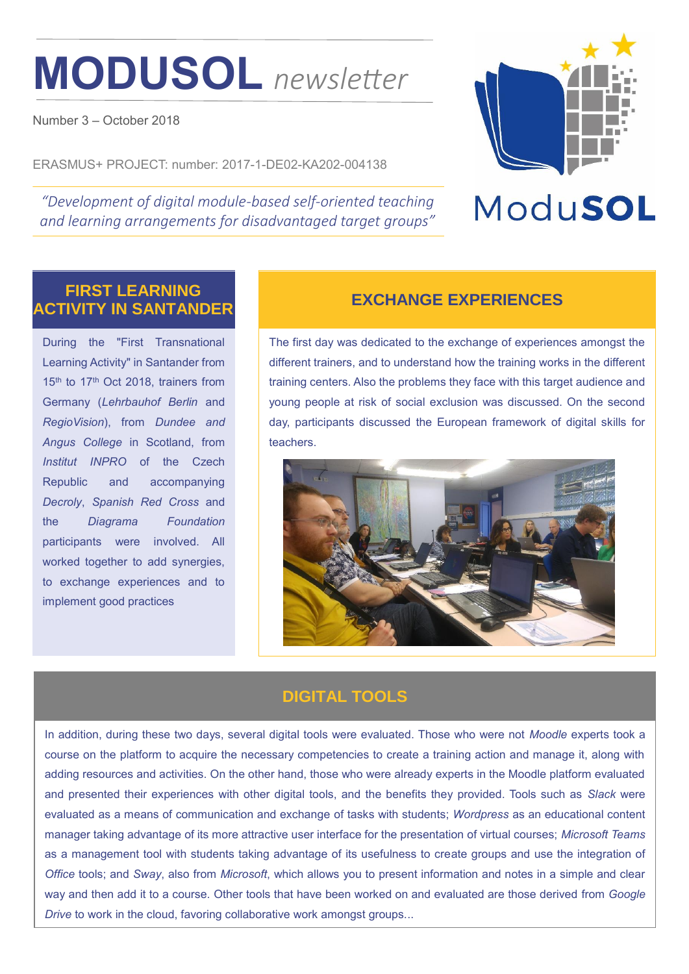# **MODUSOL** *newsletter*

Number 3 – October 2018

ERASMUS+ PROJECT: number: 2017-1-DE02-KA202-004138

*"Development of digital module-based self-oriented teaching and learning arrangements for disadvantaged target groups"*



# ModuSOL

### **FIRST LEARNING ACTIVITY IN SANTANDER EXCHANGE EXPERIENCES**

During the "First Transnational Learning Activity" in Santander from 15<sup>th</sup> to 17<sup>th</sup> Oct 2018, trainers from Germany (*Lehrbauhof Berlin* and *RegioVision*), from *Dundee and Angus College* in Scotland, from *Institut INPRO* of the Czech Republic and accompanying *Decroly*, *Spanish Red Cross* and the *Diagrama Foundation* participants were involved. All worked together to add synergies, to exchange experiences and to implement good practices

The first day was dedicated to the exchange of experiences amongst the different trainers, and to understand how the training works in the different training centers. Also the problems they face with this target audience and young people at risk of social exclusion was discussed. On the second day, participants discussed the European framework of digital skills for teachers.



### **DIGITAL TOOLS**

In addition, during these two days, several digital tools were evaluated. Those who were not *Moodle* experts took a course on the platform to acquire the necessary competencies to create a training action and manage it, along with adding resources and activities. On the other hand, those who were already experts in the Moodle platform evaluated and presented their experiences with other digital tools, and the benefits they provided. Tools such as *Slack* were evaluated as a means of communication and exchange of tasks with students; *Wordpress* as an educational content manager taking advantage of its more attractive user interface for the presentation of virtual courses; *Microsoft Teams* as a management tool with students taking advantage of its usefulness to create groups and use the integration of *Office* tools; and *Sway*, also from *Microsoft*, which allows you to present information and notes in a simple and clear way and then add it to a course. Other tools that have been worked on and evaluated are those derived from *Google Drive* to work in the cloud, favoring collaborative work amongst groups...